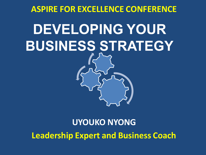#### **ASPIRE FOR EXCELLENCE CONFERENCE**

# **DEVELOPING YOUR BUSINESS STRATEGY**

#### **UYOUKO NYONG Leadership Expert and Business Coach**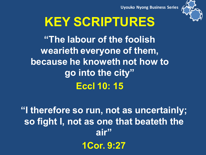



## **KEY SCRIPTURES**

**"The labour of the foolish wearieth everyone of them, because he knoweth not how to go into the city" Eccl 10: 15** 

**"I therefore so run, not as uncertainly; so fight I, not as one that beateth the air" 1Cor. 9:27**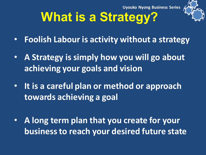

## **What is a Strategy?**

- **Foolish Labour is activity without a strategy**
- **A Strategy is simply how you will go about achieving your goals and vision**
- **It is a careful plan or method or approach towards achieving a goal**
- **A long term plan that you create for your business to reach your desired future state**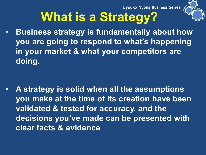

### **What is a Strategy?**

• **Business strategy is fundamentally about how you are going to respond to what's happening in your market & what your competitors are doing.** 

• **A strategy is solid when all the assumptions you make at the time of its creation have been validated & tested for accuracy, and the decisions you've made can be presented with clear facts & evidence**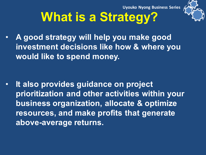

## **What is a Strategy?**

• **A good strategy will help you make good investment decisions like how & where you would like to spend money.** 

• **It also provides guidance on project prioritization and other activities within your business organization, allocate & optimize resources, and make profits that generate above-average returns.**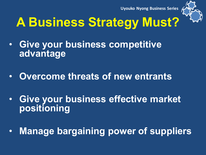

## **A Business Strategy Must?**

- **Give your business competitive advantage**
- **Overcome threats of new entrants**
- **Give your business effective market positioning**
- **Manage bargaining power of suppliers**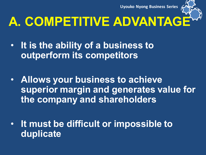

## **A. COMPETITIVE ADVANTAGE**

- **It is the ability of a business to outperform its competitors**
- **Allows your business to achieve superior margin and generates value for the company and shareholders**
- **It must be difficult or impossible to duplicate**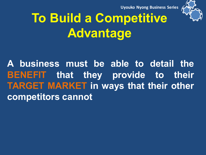

## **To Build a Competitive Advantage**

**A business must be able to detail the BENEFIT that they provide to their TARGET MARKET in ways that their other competitors cannot**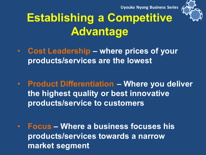

#### **Establishing a Competitive Advantage**

- **Cost Leadership – where prices of your products/services are the lowest**
- **Product Differentiation – Where you deliver the highest quality or best innovative products/service to customers**
- **Focus – Where a business focuses his products/services towards a narrow market segment**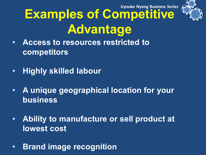

## **Examples of Competitive Advantage**

- **Access to resources restricted to competitors**
- **Highly skilled labour**
- **A unique geographical location for your business**
- **Ability to manufacture or sell product at lowest cost**
- **Brand image recognition**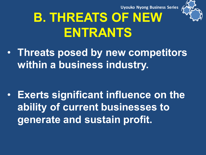

## **B. THREATS OF NEW ENTRANTS**

• **Threats posed by new competitors within a business industry.** 

• **Exerts significant influence on the ability of current businesses to generate and sustain profit.**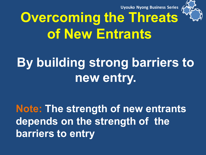

## **Overcoming the Threats of New Entrants**

### **By building strong barriers to new entry.**

**Note: The strength of new entrants depends on the strength of the barriers to entry**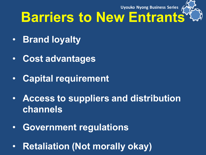

### **Barriers to New Entrants<sup>®</sup>**

- **Brand loyalty**
- **Cost advantages**
- **Capital requirement**
- **Access to suppliers and distribution channels**
- **Government regulations**
- **Retaliation (Not morally okay)**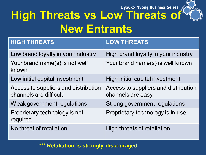#### **High Threats vs Low Threats of New Entrants**

| <b>HIGH THREATS</b>                                            | <b>LOW THREATS</b>                                        |
|----------------------------------------------------------------|-----------------------------------------------------------|
| Low brand loyalty in your industry                             | High brand loyalty in your industry                       |
| Your brand name(s) is not well<br>known                        | Your brand name(s) is well known                          |
| Low initial capital investment                                 | High initial capital investment                           |
| Access to suppliers and distribution<br>channels are difficult | Access to suppliers and distribution<br>channels are easy |
| Weak government regulations                                    | Strong government regulations                             |
| Proprietary technology is not<br>required                      | Proprietary technology is in use                          |
| No threat of retaliation                                       | High threats of retaliation                               |

**\*\*\* Retaliation is strongly discouraged**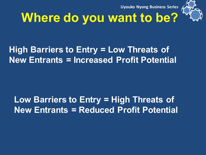

### **Where do you want to be?**

#### **High Barriers to Entry = Low Threats of New Entrants = Increased Profit Potential**

#### **Low Barriers to Entry = High Threats of New Entrants = Reduced Profit Potential**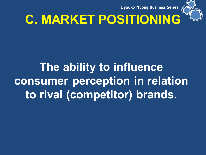

## **C. MARKET POSITIONING**

### **The ability to influence consumer perception in relation to rival (competitor) brands.**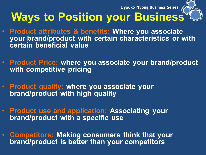

#### **Ways to Position your Business<sup>®</sup>**

- **Product attributes & benefits: Where you associate your brand/product with certain characteristics or with certain beneficial value**
- **Product Price: where you associate your brand/product with competitive pricing**
- **Product quality: where you associate your brand/product with high quality**
- **Product use and application: Associating your brand/product with a specific use**
- **Competitors: Making consumers think that your brand/product is better than your competitors**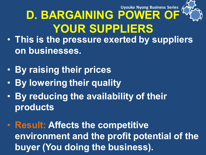

### **D. BARGAINING POWER OF YOUR SUPPLIERS**

- **This is the pressure exerted by suppliers on businesses.**
- **By raising their prices**
- **By lowering their quality**
- **By reducing the availability of their products**
- **Result: Affects the competitive environment and the profit potential of the buyer (You doing the business).**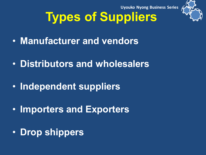

## **Types of Suppliers**

- **Manufacturer and vendors**
- **Distributors and wholesalers**
- **Independent suppliers**
- **Importers and Exporters**
- **Drop shippers**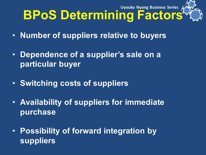#### **BPoS Determining Factors<sup>k</sup> Uyouko Nyong Business Series**

- **Number of suppliers relative to buyers**
- **Dependence of a supplier's sale on a particular buyer**
- **Switching costs of suppliers**
- **Availability of suppliers for immediate purchase**
- **Possibility of forward integration by suppliers**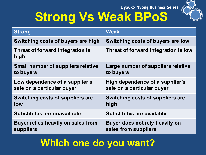



| <b>Strong</b>                             | <b>Weak</b>                          |
|-------------------------------------------|--------------------------------------|
| Switching costs of buyers are high        | Switching costs of buyers are low    |
| Threat of forward integration is<br>high  | Threat of forward integration is low |
| <b>Small number of suppliers relative</b> | Large number of suppliers relative   |
| to buyers                                 | to buyers                            |
| Low dependence of a supplier's            | High dependence of a supplier's      |
| sale on a particular buyer                | sale on a particular buyer           |
| Switching costs of suppliers are          | Switching costs of suppliers are     |
| low                                       | high                                 |
| Substitutes are unavailable               | Substitutes are available            |
| Buyer relies heavily on sales from        | Buyer does not rely heavily on       |
| suppliers                                 | sales from suppliers                 |

#### **Which one do you want?**